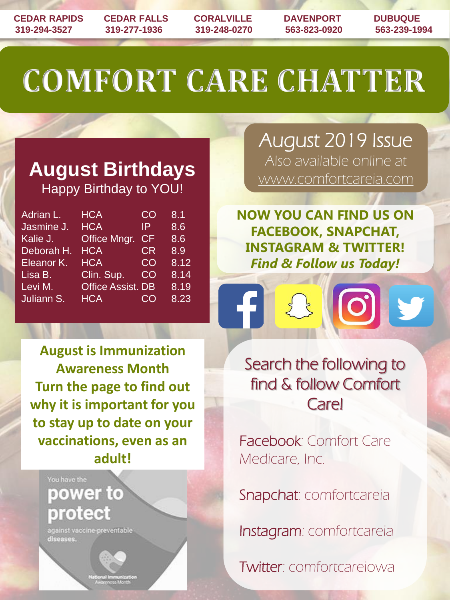**CEDAR RAPIDS CEDAR FALLS CORALVILLE DAVENPORT DUBUQUE 319-294-3527 319-277-1936 319-248-0270 563-823-0920 563-239-1994**

# **COMFORT CARE CHATTER**

### **August Birthdays** Happy Birthday to YOU!

| Adrian L.             | <b>HCA</b>               | CO        | 8.1  |
|-----------------------|--------------------------|-----------|------|
| Jasmine J.            | <b>HCA</b>               | IP        | 8.6  |
| Kalie J.              | Office Mngr.             | <b>CF</b> | 8.6  |
| Deborah H.            | <b>HCA</b>               | <b>CR</b> | 8.9  |
| Eleanor <sub>K.</sub> | <b>HCA</b>               | CO        | 8.12 |
| Lisa B.               | Clin. Sup.               | CO        | 8.14 |
| Levi M.               | <b>Office Assist. DB</b> |           | 8.19 |
| Juliann S.            | <b>HCA</b>               | <b>CO</b> | 8.23 |

**August is Immunization Awareness Month Turn the page to find out why it is important for you to stay up to date on your vaccinations, even as an adult!**



against vaccine-preventable diseases.



August 2019 Issue Also available online at www.comfortcareia.com

**NOW YOU CAN FIND US ON FACEBOOK, SNAPCHAT, INSTAGRAM & TWITTER!** *Find & Follow us Today!*

 $\begin{matrix} 2 \end{matrix}$ 

 $\boxed{\textcircled{\;}}$ 

V

Search the following to find & follow Comfort **Care!** 

Facebook: Comfort Care Medicare, Inc.

Snapchat: comfortcareia

Instagram: comfortcareia

Twitter: comfortcareiowa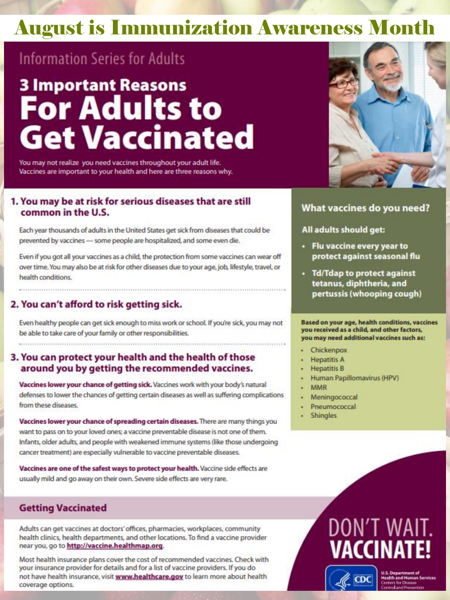### **August is Immunization Awareness Month**

### **Information Series for Adults**

## **3 Important Reasons For Adults to Get Vaccinated**

You may not realize you need vaccines throughout your adult life. Vaccines are important to your health and here are three reasons why.

#### 1. You may be at risk for serious diseases that are still common in the U.S.

Each year thousands of adults in the United States get sick from diseases that could be prevented by vaccines - some people are hospitalized, and some even die.

Even if you got all your vaccines as a child, the protection from some vaccines can wear off over time. You may also be at risk for other diseases due to your age, job, lifestyle, travel, or health conditions.

#### 2. You can't afford to risk getting sick.

Even healthy people can get sick enough to miss work or school. If you're sick, you may not be able to take care of your family or other responsibilities.

#### 3. You can protect your health and the health of those around you by getting the recommended vaccines.

Vaccines lower your chance of getting sick. Vaccines work with your body's natural defenses to lower the chances of getting certain diseases as well as suffering complications from these diseases.

Vaccines lower your chance of spreading certain diseases. There are many things you want to pass on to your loved ones; a vaccine preventable disease is not one of them. Infants, older adults, and people with weakened immune systems (like those undergoing cancer treatment) are especially vulnerable to vaccine preventable diseases.

Vaccines are one of the safest ways to protect your health. Vaccine side effects are usually mild and go away on their own. Severe side effects are very rare.

#### **Getting Vaccinated**

Adults can get vaccines at doctors' offices, pharmacies, workplaces, community health clinics, health departments, and other locations. To find a vaccine provider near you, go to http://vaccine.healthmap.org.

Most health insurance plans cover the cost of recommended vaccines. Check with your insurance provider for details and for a list of vaccine providers. If you do not have health insurance, visit www.healthcare.gov to learn more about health coverage options.



#### What vaccines do you need?

All adults should get:

- · Flu vaccine every year to protect against seasonal flu
- Td/Tdap to protect against tetanus, diphtheria, and pertussis (whooping cough)

Based on your age, health conditions, vaccines you received as a child, and other factors, you may need additional vaccines such as:

- Chickenpox
- **Hepatitis A**
- **Hepatitis B**
- Human Papillomavirus (HPV)
- **MMR**
- Meningococcal
- Pneumococcal
- **Shingles**

## DON'T WA VACCINA

 $_{\rm CDC}$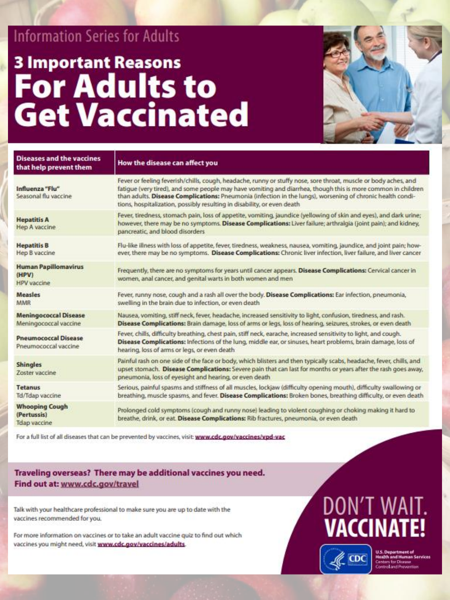### **Information Series for Adults**

## **3 Important Reasons For Adults to Get Vaccinated**



| <b>Diseases and the vaccines</b><br>that help prevent them  | How the disease can affect you                                                                                                                                                                                                                                                                                                                                                                                           |  |
|-------------------------------------------------------------|--------------------------------------------------------------------------------------------------------------------------------------------------------------------------------------------------------------------------------------------------------------------------------------------------------------------------------------------------------------------------------------------------------------------------|--|
| Influenza "Flu"<br>Seasonal flu vaccine                     | Fever or feeling feverish/chills, cough, headache, runny or stuffy nose, sore throat, muscle or body aches, and<br>fatigue (very tired), and some people may have vomiting and diarrhea, though this is more common in children<br>than adults. Disease Complications: Pneumonia (infection in the lungs), worsening of chronic health condi-<br>tions, hospitalization, possibly resulting in disability, or even death |  |
| <b>Hepatitis A</b><br>Hep A vaccine                         | Fever, tiredness, stomach pain, loss of appetite, vomiting, jaundice (yellowing of skin and eyes), and dark urine;<br>however, there may be no symptoms. Disease Complications: Liver failure; arthralgia (joint pain); and kidney,<br>pancreatic, and blood disorders                                                                                                                                                   |  |
| <b>Hepatitis B</b><br>Hep B vaccine                         | Flu-like illness with loss of appetite, fever, tiredness, weakness, nausea, vomiting, jaundice, and joint pain; how-<br>ever, there may be no symptoms. Disease Complications: Chronic liver infection, liver failure, and liver cancer                                                                                                                                                                                  |  |
| <b>Human Papillomavirus</b><br>(HPV)<br><b>HPV</b> vaccine  | Frequently, there are no symptoms for years until cancer appears. Disease Complications: Cervical cancer in<br>women, anal cancer, and genital warts in both women and men-                                                                                                                                                                                                                                              |  |
| <b>Measles</b><br>MMR                                       | Fever, runny nose, cough and a rash all over the body. Disease Complications: Ear infection, pneumonia,<br>swelling in the brain due to infection, or even death                                                                                                                                                                                                                                                         |  |
| <b>Meningococcal Disease</b><br>Meningococcal vaccine       | Nausea, vomiting, stiff neck, fever, headache, increased sensitivity to light, confusion, tiredness, and rash.<br>Disease Complications: Brain damage, loss of arms or legs, loss of hearing, seizures, strokes, or even death                                                                                                                                                                                           |  |
| <b>Pneumococcal Disease</b><br>Pneumococcal vaccine         | Fever, chills, difficulty breathing, chest pain, stiff neck, earache, increased sensitivity to light, and cough.<br>Disease Complications: Infections of the lung, middle ear, or sinuses, heart problems, brain damage, loss of<br>hearing, loss of arms or legs, or even death                                                                                                                                         |  |
| <b>Shingles</b><br>Zoster vaccine                           | Painful rash on one side of the face or body, which blisters and then typically scabs, headache, fever, chills, and<br>upset stomach. Disease Complications: Severe pain that can last for months or years after the rash goes away,<br>pneumonia, loss of eyesight and hearing, or even death                                                                                                                           |  |
| <b>Tetanus</b><br>Td/Tdap vaccine                           | Serious, painful spasms and stiffness of all muscles, lockjaw (difficulty opening mouth), difficulty swallowing or<br>breathing, muscle spasms, and fever. Disease Complications: Broken bones, breathing difficulty, or even death                                                                                                                                                                                      |  |
| <b>Whooping Cough</b><br>(Pertussis)<br><b>Tdap vaccine</b> | Prolonged cold symptoms (cough and runny nose) leading to violent coughing or choking making it hard to<br>breathe, drink, or eat. Disease Complications: Rib fractures, pneumonia, or even death                                                                                                                                                                                                                        |  |
|                                                             |                                                                                                                                                                                                                                                                                                                                                                                                                          |  |

For a full list of all diseases that can be prevented by vaccines, visit: www.cdc.gov/vaccines/vpd-vac

#### Traveling overseas? There may be additional vaccines you need. Find out at: www.cdc.gov/travel

Talk with your healthcare professional to make sure you are up to date with the vaccines recommended for you.

For more information on vaccines or to take an adult vaccine quiz to find out which vaccines you might need, visit www.cdc.gov/vaccines/adults.

## DON'T WAIT. **VACCINATE!**